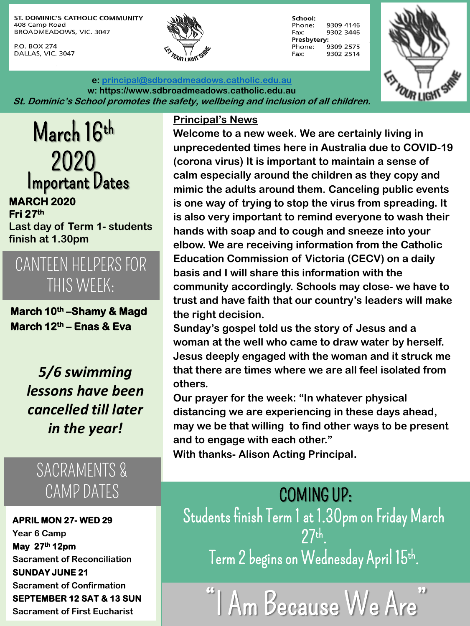ST. DOMINIC'S CATHOLIC COMMUNITY 408 Camp Road BROADMEADOWS, VIC. 3047

P.O. BOX 274 DALLAS, VIC. 3047



School: Phone: 9309 4146 9302 3446 Fax: Presbytery: Phone: 9309 2575 Fax: 9302 2514



**e: [principal@sdbroadmeadows.catholic.edu.au](mailto:principal@sdbroadmeadows.catholic.edu.au) w: https://www.sdbroadmeadows.catholic.edu.au St. Dominic's School promotes the safety, wellbeing and inclusion of all children.**

March 16th 2020 Important Dates **MARCH 2020 Fri 27th Last day of Term 1- students finish at 1.30pm**

CANTEEN HELPERS FOR THIS WEEK:

**March 10th –Shamy & Magd March 12th – Enas & Eva**

> *5/6 swimming lessons have been cancelled till later in the year!*

## SACRAMENTS & CAMP DATES

**APRIL MON 27- WED 29 Year 6 Camp May 27th 12pm Sacrament of Reconciliation SUNDAY JUNE 21 Sacrament of Confirmation SEPTEMBER 12 SAT & 13 SUN Sacrament of First Eucharist**

#### **Principal's News**

**Welcome to a new week. We are certainly living in unprecedented times here in Australia due to COVID-19 (corona virus) It is important to maintain a sense of calm especially around the children as they copy and mimic the adults around them. Canceling public events is one way of trying to stop the virus from spreading. It is also very important to remind everyone to wash their hands with soap and to cough and sneeze into your elbow. We are receiving information from the Catholic Education Commission of Victoria (CECV) on a daily basis and I will share this information with the community accordingly. Schools may close- we have to trust and have faith that our country's leaders will make the right decision.**

**Sunday's gospel told us the story of Jesus and a woman at the well who came to draw water by herself. Jesus deeply engaged with the woman and it struck me that there are times where we are all feel isolated from others.**

**Our prayer for the week: "In whatever physical distancing we are experiencing in these days ahead, may we be that willing to find other ways to be present and to engage with each other."**

**With thanks- Alison Acting Principal.** 

### COMING UP:

Students finish Term 1 at 1.30pm on Friday March 27th Term 2 begins on Wednesday April 15th.  $\,$ 

"I Am Because We Are"